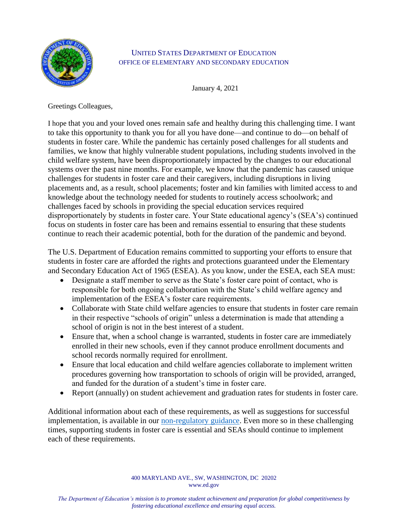

## UNITED STATES DEPARTMENT OF EDUCATION OFFICE OF ELEMENTARY AND SECONDARY EDUCATION

January 4, 2021

Greetings Colleagues,

I hope that you and your loved ones remain safe and healthy during this challenging time. I want to take this opportunity to thank you for all you have done—and continue to do—on behalf of students in foster care. While the pandemic has certainly posed challenges for all students and families, we know that highly vulnerable student populations, including students involved in the child welfare system, have been disproportionately impacted by the changes to our educational systems over the past nine months. For example, we know that the pandemic has caused unique challenges for students in foster care and their caregivers, including disruptions in living placements and, as a result, school placements; foster and kin families with limited access to and knowledge about the technology needed for students to routinely access schoolwork; and challenges faced by schools in providing the special education services required disproportionately by students in foster care. Your State educational agency's (SEA's) continued focus on students in foster care has been and remains essential to ensuring that these students continue to reach their academic potential, both for the duration of the pandemic and beyond.

The U.S. Department of Education remains committed to supporting your efforts to ensure that students in foster care are afforded the rights and protections guaranteed under the Elementary and Secondary Education Act of 1965 (ESEA). As you know, under the ESEA, each SEA must:

- Designate a staff member to serve as the State's foster care point of contact, who is responsible for both ongoing collaboration with the State's child welfare agency and implementation of the ESEA's foster care requirements.
- Collaborate with State child welfare agencies to ensure that students in foster care remain in their respective "schools of origin" unless a determination is made that attending a school of origin is not in the best interest of a student.
- Ensure that, when a school change is warranted, students in foster care are immediately enrolled in their new schools, even if they cannot produce enrollment documents and school records normally required for enrollment.
- Ensure that local education and child welfare agencies collaborate to implement written procedures governing how transportation to schools of origin will be provided, arranged, and funded for the duration of a student's time in foster care.
- Report (annually) on student achievement and graduation rates for students in foster care.

Additional information about each of these requirements, as well as suggestions for successful implementation, is available in our [non-regulatory guidance.](https://oese.ed.gov/files/2020/09/Non-Regulatory-Guidance_06-23-2016.pdf) Even more so in these challenging times, supporting students in foster care is essential and SEAs should continue to implement each of these requirements.